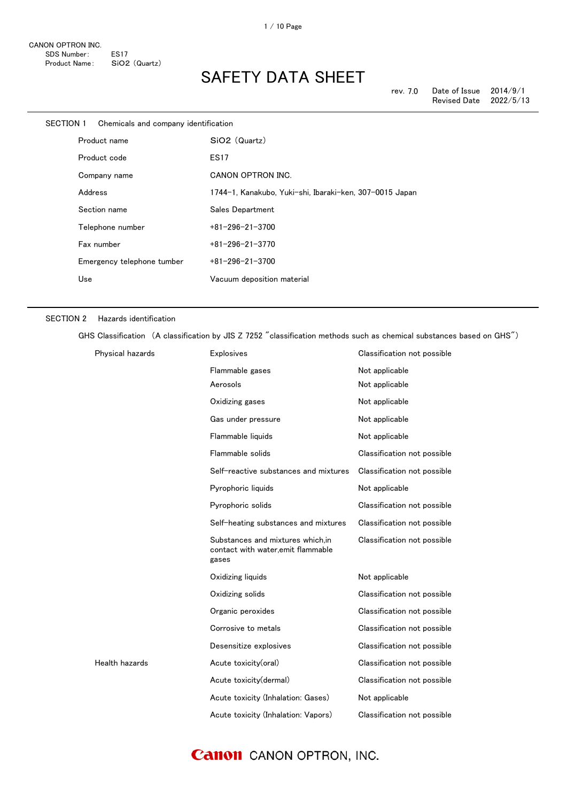| SECTION 1<br>Chemicals and company identification |                            |                                                         |
|---------------------------------------------------|----------------------------|---------------------------------------------------------|
| Product name                                      |                            | SiO2 (Quartz)                                           |
|                                                   | Product code               | <b>ES17</b>                                             |
|                                                   | Company name               | CANON OPTRON INC.                                       |
|                                                   | Address                    | 1744-1, Kanakubo, Yuki-shi, Ibaraki-ken, 307-0015 Japan |
|                                                   | Section name               | Sales Department                                        |
|                                                   | Telephone number           | $+81 - 296 - 21 - 3700$                                 |
|                                                   | Fax number                 | $+81 - 296 - 21 - 3770$                                 |
|                                                   | Emergency telephone tumber | $+81 - 296 - 21 - 3700$                                 |
|                                                   | Use                        | Vacuum deposition material                              |
|                                                   |                            |                                                         |

#### SECTION 2 Hazards identification

GHS Classification (A classification by JIS Z 7252 "classification methods such as chemical substances based on GHS")

| Physical hazards | <b>Explosives</b>                                                               | Classification not possible |
|------------------|---------------------------------------------------------------------------------|-----------------------------|
|                  | Flammable gases                                                                 | Not applicable              |
|                  | Aerosols                                                                        | Not applicable              |
|                  | Oxidizing gases                                                                 | Not applicable              |
|                  | Gas under pressure                                                              | Not applicable              |
|                  | Flammable liquids                                                               | Not applicable              |
|                  | Flammable solids                                                                | Classification not possible |
|                  | Self-reactive substances and mixtures                                           | Classification not possible |
|                  | Pyrophoric liquids                                                              | Not applicable              |
|                  | Pyrophoric solids                                                               | Classification not possible |
|                  | Self-heating substances and mixtures                                            | Classification not possible |
|                  | Substances and mixtures which.in<br>contact with water, emit flammable<br>gases | Classification not possible |
|                  | Oxidizing liquids                                                               | Not applicable              |
|                  | Oxidizing solids                                                                | Classification not possible |
|                  | Organic peroxides                                                               | Classification not possible |
|                  | Corrosive to metals                                                             | Classification not possible |
|                  | Desensitize explosives                                                          | Classification not possible |
| Health hazards   | Acute toxicity(oral)                                                            | Classification not possible |
|                  | Acute toxicity(dermal)                                                          | Classification not possible |
|                  | Acute toxicity (Inhalation: Gases)                                              | Not applicable              |
|                  | Acute toxicity (Inhalation: Vapors)                                             | Classification not possible |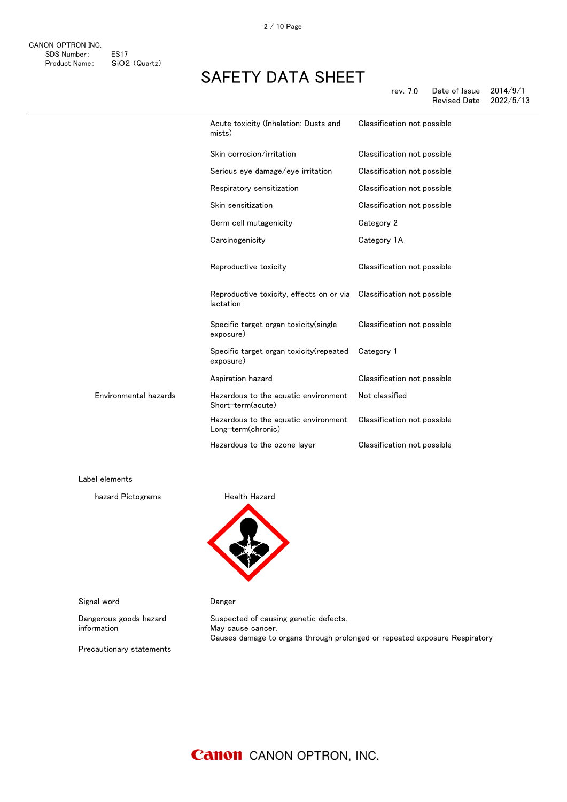|                       | Acute toxicity (Inhalation: Dusts and<br>mists)                                   | Classification not possible |
|-----------------------|-----------------------------------------------------------------------------------|-----------------------------|
|                       | Skin corrosion/irritation                                                         | Classification not possible |
|                       | Serious eye damage/eye irritation                                                 | Classification not possible |
|                       | Respiratory sensitization                                                         | Classification not possible |
|                       | Skin sensitization                                                                | Classification not possible |
|                       | Germ cell mutagenicity                                                            | Category 2                  |
|                       | Carcinogenicity                                                                   | Category 1A                 |
|                       | Reproductive toxicity                                                             | Classification not possible |
|                       | Reproductive toxicity, effects on or via Classification not possible<br>lactation |                             |
|                       | Specific target organ toxicity(single<br>exposure)                                | Classification not possible |
|                       | Specific target organ toxicity (repeated<br>exposure)                             | Category 1                  |
|                       | Aspiration hazard                                                                 | Classification not possible |
| Environmental hazards | Hazardous to the aquatic environment<br>Short-term(acute)                         | Not classified              |
|                       | Hazardous to the aquatic environment<br>Long-term(chronic)                        | Classification not possible |
|                       | Hazardous to the ozone layer                                                      | Classification not possible |
|                       |                                                                                   |                             |

Label elements

hazard Pictograms **Health Hazard** 



Signal word **Danger** 

Dangerous goods hazard information

Suspected of causing genetic defects. May cause cancer. Causes damage to organs through prolonged or repeated exposure Respiratory

Precautionary statements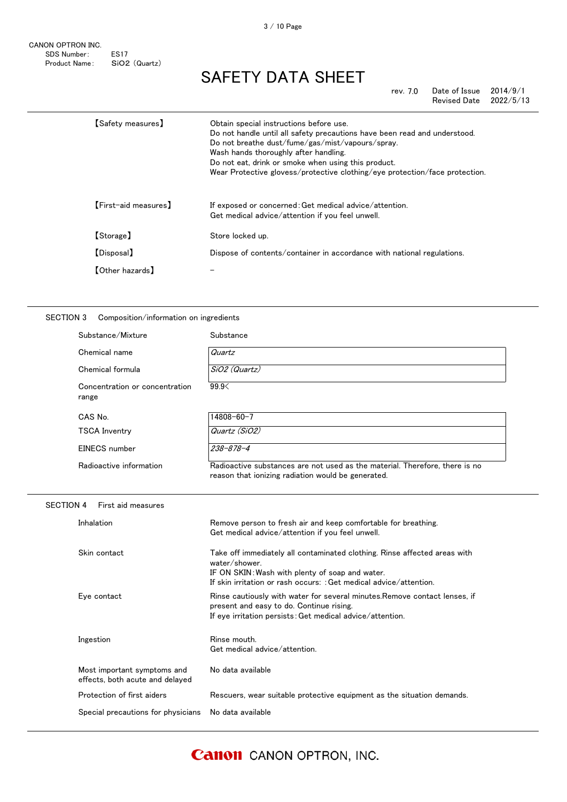CANON OPTRON INC. SDS Number: ES17 Product Name: SiO2 (Quartz)

## SAFETY DATA SHEET

rev. 7.0 Date of Issue 2014/9/1<br>Revised Date 2022/5/13 Revised Date

| 【Safetv measures】          | Obtain special instructions before use.<br>Do not handle until all safety precautions have been read and understood.<br>Do not breathe dust/fume/gas/mist/vapours/spray.<br>Wash hands thoroughly after handling.<br>Do not eat, drink or smoke when using this product.<br>Wear Protective glovess/protective clothing/eye protection/face protection. |
|----------------------------|---------------------------------------------------------------------------------------------------------------------------------------------------------------------------------------------------------------------------------------------------------------------------------------------------------------------------------------------------------|
| [First-aid measures]       | If exposed or concerned: Get medical advice/attention.<br>Get medical advice/attention if you feel unwell.                                                                                                                                                                                                                                              |
| [Storage]                  | Store locked up.                                                                                                                                                                                                                                                                                                                                        |
| [Disposal]                 | Dispose of contents/container in accordance with national regulations.                                                                                                                                                                                                                                                                                  |
| $\textsf{[Other hazards]}$ |                                                                                                                                                                                                                                                                                                                                                         |

### SECTION 3 Composition/information on ingredients

|                  | Substance/Mixture                                              | Substance                                                                                                                                                                                                           |
|------------------|----------------------------------------------------------------|---------------------------------------------------------------------------------------------------------------------------------------------------------------------------------------------------------------------|
|                  | Chemical name                                                  | Quartz                                                                                                                                                                                                              |
|                  | Chemical formula                                               | SiO2 (Quartz)                                                                                                                                                                                                       |
|                  | Concentration or concentration<br>range                        | 99.9<                                                                                                                                                                                                               |
|                  | CAS No.                                                        | 14808-60-7                                                                                                                                                                                                          |
|                  | <b>TSCA Inventry</b>                                           | Quartz (SiO2)                                                                                                                                                                                                       |
|                  | EINECS number                                                  | 238-878-4                                                                                                                                                                                                           |
|                  | Radioactive information                                        | Radioactive substances are not used as the material. Therefore, there is no<br>reason that ionizing radiation would be generated.                                                                                   |
| <b>SECTION 4</b> | First aid measures                                             |                                                                                                                                                                                                                     |
|                  | Inhalation                                                     | Remove person to fresh air and keep comfortable for breathing.<br>Get medical advice/attention if you feel unwell.                                                                                                  |
|                  | Skin contact                                                   | Take off immediately all contaminated clothing. Rinse affected areas with<br>water/shower.<br>IF ON SKIN: Wash with plenty of soap and water.<br>If skin irritation or rash occurs: : Get medical advice/attention. |
|                  | Eye contact                                                    | Rinse cautiously with water for several minutes. Remove contact lenses, if<br>present and easy to do. Continue rising.<br>If eye irritation persists: Get medical advice/attention.                                 |
|                  | Ingestion                                                      | Rinse mouth.<br>Get medical advice/attention.                                                                                                                                                                       |
|                  | Most important symptoms and<br>effects, both acute and delayed | No data available                                                                                                                                                                                                   |
|                  | Protection of first aiders                                     | Rescuers, wear suitable protective equipment as the situation demands.                                                                                                                                              |
|                  | Special precautions for physicians                             | No data available                                                                                                                                                                                                   |
|                  |                                                                |                                                                                                                                                                                                                     |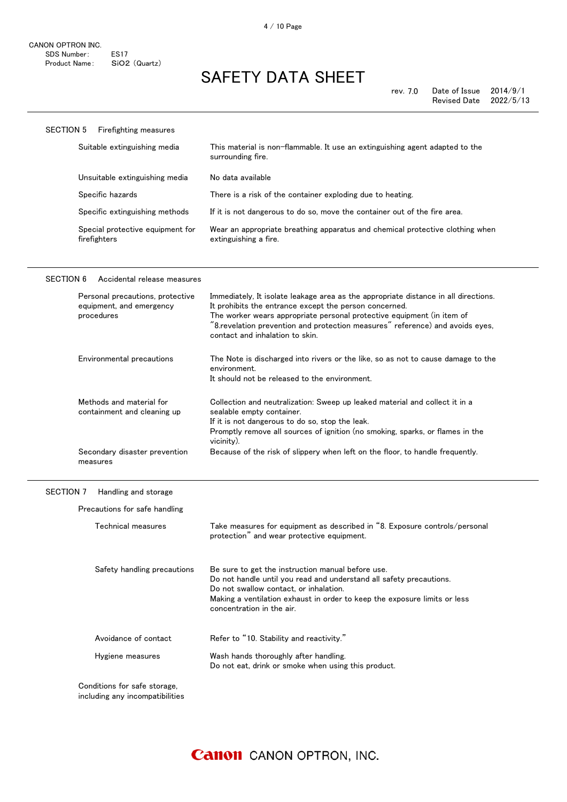| SECTION 5<br><b>Firefighting measures</b>        |                                                                                                        |
|--------------------------------------------------|--------------------------------------------------------------------------------------------------------|
| Suitable extinguishing media                     | This material is non-flammable. It use an extinguishing agent adapted to the<br>surrounding fire.      |
| Unsuitable extinguishing media                   | No data available                                                                                      |
| Specific hazards                                 | There is a risk of the container exploding due to heating.                                             |
| Specific extinguishing methods                   | If it is not dangerous to do so, move the container out of the fire area.                              |
| Special protective equipment for<br>firefighters | Wear an appropriate breathing apparatus and chemical protective clothing when<br>extinguishing a fire. |

### SECTION 6 Accidental release measures

| Personal precautions, protective<br>equipment, and emergency<br>procedures | Immediately, It isolate leakage area as the appropriate distance in all directions.<br>It prohibits the entrance except the person concerned.<br>The worker wears appropriate personal protective equipment (in item of<br>"8.revelation prevention and protection measures" reference) and avoids eyes,<br>contact and inhalation to skin. |
|----------------------------------------------------------------------------|---------------------------------------------------------------------------------------------------------------------------------------------------------------------------------------------------------------------------------------------------------------------------------------------------------------------------------------------|
| Environmental precautions                                                  | The Note is discharged into rivers or the like, so as not to cause damage to the<br>environment.<br>It should not be released to the environment.                                                                                                                                                                                           |
| Methods and material for<br>containment and cleaning up                    | Collection and neutralization: Sweep up leaked material and collect it in a<br>sealable empty container.<br>If it is not dangerous to do so, stop the leak.<br>Promptly remove all sources of ignition (no smoking, sparks, or flames in the<br>vicinity).                                                                                  |
| Secondary disaster prevention<br>measures                                  | Because of the risk of slippery when left on the floor, to handle frequently.                                                                                                                                                                                                                                                               |

### SECTION 7 Handling and storage

| Technical measures          | Take measures for equipment as described in "8. Exposure controls/personal<br>protection" and wear protective equipment.                                                                                                                                                     |
|-----------------------------|------------------------------------------------------------------------------------------------------------------------------------------------------------------------------------------------------------------------------------------------------------------------------|
| Safety handling precautions | Be sure to get the instruction manual before use.<br>Do not handle until you read and understand all safety precautions.<br>Do not swallow contact, or inhalation.<br>Making a ventilation exhaust in order to keep the exposure limits or less<br>concentration in the air. |
| Avoidance of contact        | Refer to "10. Stability and reactivity."                                                                                                                                                                                                                                     |
| Hygiene measures            | Wash hands thoroughly after handling.<br>Do not eat, drink or smoke when using this product.                                                                                                                                                                                 |

including any incompatibilities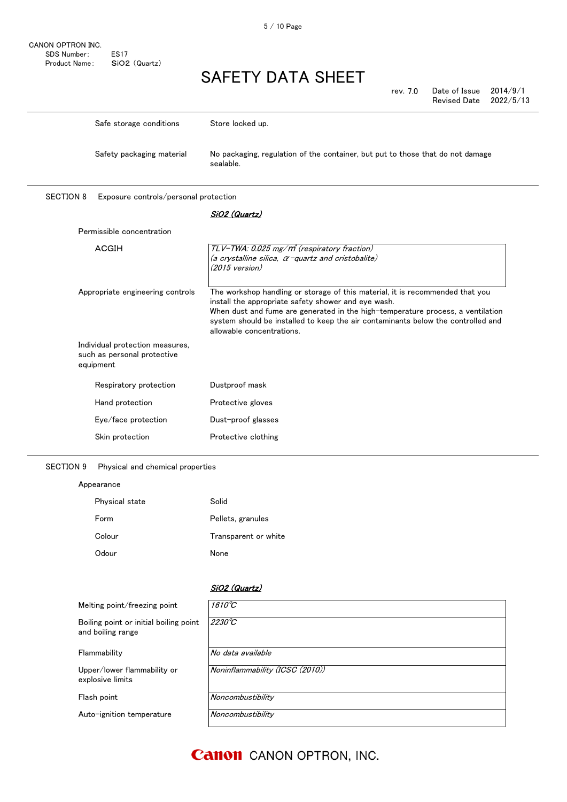| rev. 7.0 | Date of Issue $2014/9/1$ |  |
|----------|--------------------------|--|
|          | Revised Date $2022/5/13$ |  |

|                  | Safe storage conditions               | Store locked up.                                                                            |
|------------------|---------------------------------------|---------------------------------------------------------------------------------------------|
|                  | Safety packaging material             | No packaging, regulation of the container, but put to those that do not damage<br>sealable. |
| <b>SECTION 8</b> | Exposure controls/personal protection |                                                                                             |

### SiO2 (Quartz)

| Permissible concentration                                                   |                                                                                                                                                                                                                                                                                                                                          |
|-----------------------------------------------------------------------------|------------------------------------------------------------------------------------------------------------------------------------------------------------------------------------------------------------------------------------------------------------------------------------------------------------------------------------------|
| ACGIH                                                                       | TLV-TWA: 0.025 mg/m <sup>3</sup> (respiratory fraction)<br>(a crystalline silica, α−quartz and cristobalite)<br>(2015 version)                                                                                                                                                                                                           |
| Appropriate engineering controls                                            | The workshop handling or storage of this material, it is recommended that you<br>install the appropriate safety shower and eye wash.<br>When dust and fume are generated in the high-temperature process, a ventilation<br>system should be installed to keep the air contaminants below the controlled and<br>allowable concentrations. |
| Individual protection measures,<br>such as personal protective<br>equipment |                                                                                                                                                                                                                                                                                                                                          |
| Respiratory protection                                                      | Dustproof mask                                                                                                                                                                                                                                                                                                                           |
| Hand protection                                                             | Protective gloves                                                                                                                                                                                                                                                                                                                        |
| Eye/face protection                                                         | Dust-proof glasses                                                                                                                                                                                                                                                                                                                       |
| Skin protection                                                             | Protective clothing                                                                                                                                                                                                                                                                                                                      |

### SECTION 9 Physical and chemical properties

| Appearance     |                      |
|----------------|----------------------|
| Physical state | Solid                |
| Form           | Pellets, granules    |
| Colour         | Transparent or white |
| Odour          | None                 |

### SiO2 (Quartz)

| Melting point/freezing point                                | $1610^{\circ}C$                 |
|-------------------------------------------------------------|---------------------------------|
| Boiling point or initial boiling point<br>and boiling range | $2230^{\circ}C$                 |
| Flammability                                                | No data available               |
| Upper/lower flammability or<br>explosive limits             | Noninflammability (ICSC (2010)) |
| Flash point                                                 | Noncombustibility               |
| Auto-ignition temperature                                   | Noncombustibility               |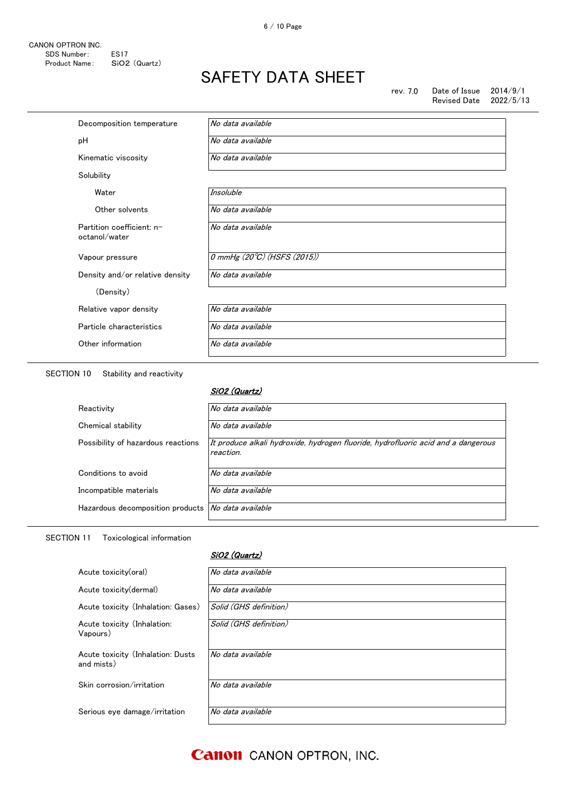rev. 7.0 Date of Issue 2014/9/1<br>Revised Date 2022/5/13 Revised Date

| Decomposition temperature                  | No data available           |
|--------------------------------------------|-----------------------------|
| рH                                         | No data available           |
| Kinematic viscosity                        | No data available           |
| Solubility                                 |                             |
| Water                                      | <b>Insoluble</b>            |
| Other solvents                             | No data available           |
| Partition coefficient: n-<br>octanol/water | No data available           |
| Vapour pressure                            | 0 mmHg (20°C) (HSFS (2015)) |
| Density and/or relative density            | No data available           |
| (Density)                                  |                             |
| Relative vapor density                     | No data available           |
| Particle characteristics                   | No data available           |
| Other information                          | No data available           |
|                                            |                             |

SECTION 10 Stability and reactivity

SiO2 (Quartz)

| Reactivity                         | No data available                                                                              |
|------------------------------------|------------------------------------------------------------------------------------------------|
| Chemical stability                 | No data available                                                                              |
| Possibility of hazardous reactions | It produce alkali hydroxide, hydrogen fluoride, hydrofluoric acid and a dangerous<br>reaction. |
| Conditions to avoid                | No data available                                                                              |
| Incompatible materials             | No data available                                                                              |
| Hazardous decomposition products   | No data available                                                                              |

### SECTION 11 Toxicological information

### SiO2 (Quartz)

| Acute toxicity(oral)                            | No data available      |
|-------------------------------------------------|------------------------|
| Acute toxicity (dermal)                         | No data available      |
| Acute toxicity (Inhalation: Gases)              | Solid (GHS definition) |
| Acute toxicity (Inhalation:<br>Vapours)         | Solid (GHS definition) |
| Acute toxicity (Inhalation: Dusts<br>and mists) | No data available      |
| Skin corrosion/irritation                       | No data available      |
| Serious eye damage/irritation                   | No data available      |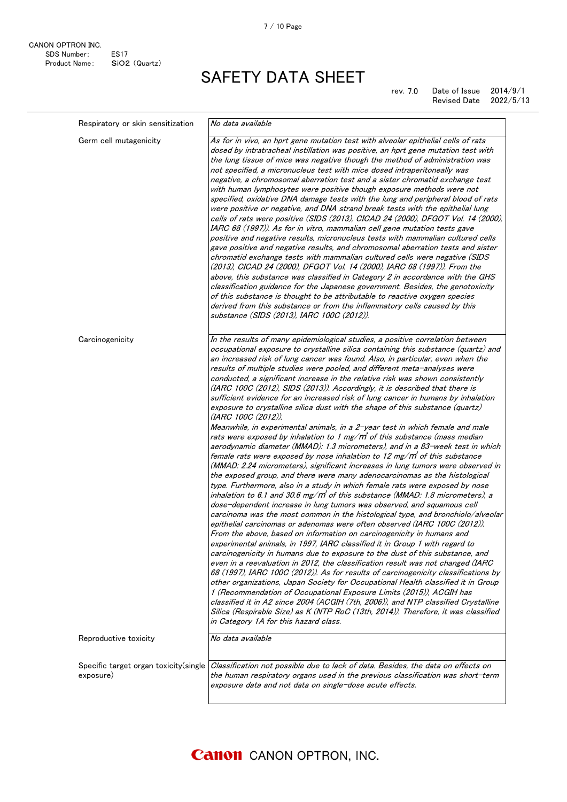rev. 7.0 Date of Issue 2014/9/1<br>Revised Date 2022/5/13 Revised Date

| Respiratory or skin sensitization                   | No data available                                                                                                                                                                                                                                                                                                                                                                                                                                                                                                                                                                                                                                                                                                                                                                                                                                                                                                                                                                                                                                                                                                                                                                                                                                                                                                                                                                                                                                                                                                                              |
|-----------------------------------------------------|------------------------------------------------------------------------------------------------------------------------------------------------------------------------------------------------------------------------------------------------------------------------------------------------------------------------------------------------------------------------------------------------------------------------------------------------------------------------------------------------------------------------------------------------------------------------------------------------------------------------------------------------------------------------------------------------------------------------------------------------------------------------------------------------------------------------------------------------------------------------------------------------------------------------------------------------------------------------------------------------------------------------------------------------------------------------------------------------------------------------------------------------------------------------------------------------------------------------------------------------------------------------------------------------------------------------------------------------------------------------------------------------------------------------------------------------------------------------------------------------------------------------------------------------|
| Germ cell mutagenicity                              | As for in vivo, an hprt gene mutation test with alveolar epithelial cells of rats<br>dosed by intratracheal instillation was positive, an hprt gene mutation test with<br>the lung tissue of mice was negative though the method of administration was<br>not specified, a micronucleus test with mice dosed intraperitoneally was<br>negative, a chromosomal aberration test and a sister chromatid exchange test<br>with human lymphocytes were positive though exposure methods were not<br>specified, oxidative DNA damage tests with the lung and peripheral blood of rats<br>were positive or negative, and DNA strand break tests with the epithelial lung<br>cells of rats were positive (SIDS (2013), CICAD 24 (2000), DFGOT Vol. 14 (2000),<br>IARC 68 (1997)). As for in vitro, mammalian cell gene mutation tests gave<br>positive and negative results, micronucleus tests with mammalian cultured cells<br>gave positive and negative results, and chromosomal aberration tests and sister<br>chromatid exchange tests with mammalian cultured cells were negative (SIDS<br>(2013), CICAD 24 (2000), DFGOT Vol. 14 (2000), IARC 68 (1997)). From the<br>above, this substance was classified in Category 2 in accordance with the GHS<br>classification guidance for the Japanese government. Besides, the genotoxicity<br>of this substance is thought to be attributable to reactive oxygen species<br>derived from this substance or from the inflammatory cells caused by this<br>substance (SIDS (2013), IARC 100C (2012)). |
| Carcinogenicity                                     | In the results of many epidemiological studies, a positive correlation between<br>occupational exposure to crystalline silica containing this substance (quartz) and<br>an increased risk of lung cancer was found. Also, in particular, even when the                                                                                                                                                                                                                                                                                                                                                                                                                                                                                                                                                                                                                                                                                                                                                                                                                                                                                                                                                                                                                                                                                                                                                                                                                                                                                         |
|                                                     | results of multiple studies were pooled, and different meta-analyses were<br>conducted, a significant increase in the relative risk was shown consistently<br>(IARC 100C (2012), SIDS (2013)). Accordingly, it is described that there is<br>sufficient evidence for an increased risk of lung cancer in humans by inhalation<br>exposure to crystalline silica dust with the shape of this substance (quartz)<br>(IARC 100C (2012)).                                                                                                                                                                                                                                                                                                                                                                                                                                                                                                                                                                                                                                                                                                                                                                                                                                                                                                                                                                                                                                                                                                          |
|                                                     | Meanwhile, in experimental animals, in a 2-year test in which female and male<br>rats were exposed by inhalation to 1 mg/m <sup>3</sup> of this substance (mass median<br>aerodynamic diameter (MMAD): 1.3 micrometers), and in a 83-week test in which<br>female rats were exposed by nose inhalation to 12 mg/m of this substance<br>(MMAD: 2.24 micrometers), significant increases in lung tumors were observed in                                                                                                                                                                                                                                                                                                                                                                                                                                                                                                                                                                                                                                                                                                                                                                                                                                                                                                                                                                                                                                                                                                                         |
|                                                     | the exposed group, and there were many adenocarcinomas as the histological<br>type. Furthermore, also in a study in which female rats were exposed by nose<br>inhalation to 6.1 and 30.6 mg/m of this substance (MMAD: 1.8 micrometers), a<br>dose-dependent increase in lung tumors was observed, and squamous cell                                                                                                                                                                                                                                                                                                                                                                                                                                                                                                                                                                                                                                                                                                                                                                                                                                                                                                                                                                                                                                                                                                                                                                                                                           |
|                                                     | carcinoma was the most common in the histological type, and bronchiolo/alveolar<br>epithelial carcinomas or adenomas were often observed (IARC 100C (2012)).<br>From the above, based on information on carcinogenicity in humans and<br>experimental animals, in 1997, IARC classified it in Group 1 with regard to<br>carcinogenicity in humans due to exposure to the dust of this substance, and<br>even in a reevaluation in 2012, the classification result was not changed (IARC<br>68 (1997), IARC 100C (2012)). As for results of carcinogenicity classifications by<br>other organizations, Japan Society for Occupational Health classified it in Group<br>1 (Recommendation of Occupational Exposure Limits (2015)), ACGIH has<br>classified it in A2 since 2004 (ACGIH (7th, 2006)), and NTP classified Crystalline<br>Silica (Respirable Size) as K (NTP RoC (13th, 2014)). Therefore, it was classified                                                                                                                                                                                                                                                                                                                                                                                                                                                                                                                                                                                                                         |
| Reproductive toxicity                               | in Category 1A for this hazard class.<br>No data available                                                                                                                                                                                                                                                                                                                                                                                                                                                                                                                                                                                                                                                                                                                                                                                                                                                                                                                                                                                                                                                                                                                                                                                                                                                                                                                                                                                                                                                                                     |
|                                                     |                                                                                                                                                                                                                                                                                                                                                                                                                                                                                                                                                                                                                                                                                                                                                                                                                                                                                                                                                                                                                                                                                                                                                                                                                                                                                                                                                                                                                                                                                                                                                |
| Specific target organ toxicity (single<br>exposure) | Classification not possible due to lack of data. Besides, the data on effects on<br>the human respiratory organs used in the previous classification was short-term<br>exposure data and not data on single-dose acute effects.                                                                                                                                                                                                                                                                                                                                                                                                                                                                                                                                                                                                                                                                                                                                                                                                                                                                                                                                                                                                                                                                                                                                                                                                                                                                                                                |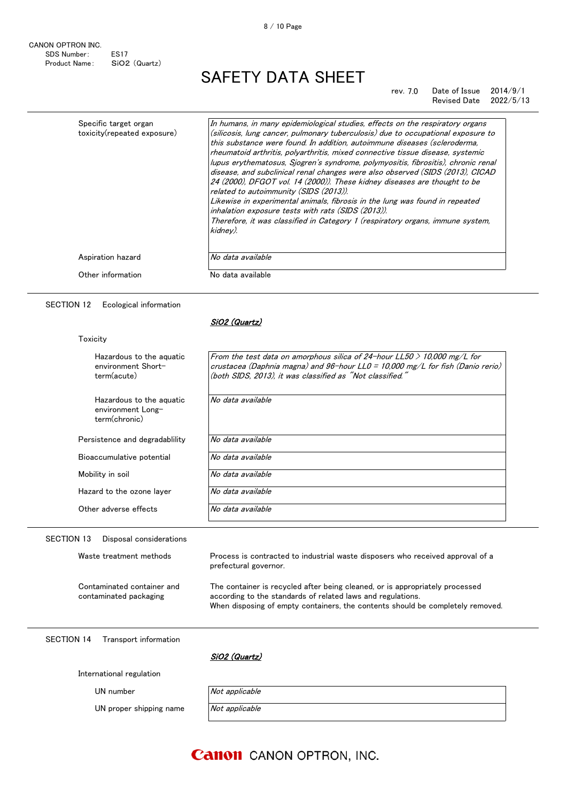CANON OPTRON INC. SDS Number: ES17 Product Name: SiO2 (Quartz)

## SAFETY DATA SHEET

#### rev. 7.0 Date of Issue 2014/9/1 Revised Date 2022/5/13

| Specific target organ<br>toxicity(repeated exposure) | In humans, in many epidemiological studies, effects on the respiratory organs<br>(silicosis, lung cancer, pulmonary tuberculosis) due to occupational exposure to  |
|------------------------------------------------------|--------------------------------------------------------------------------------------------------------------------------------------------------------------------|
|                                                      | this substance were found. In addition, autoimmune diseases (scleroderma,<br>rheumatoid arthritis, polyarthritis, mixed connective tissue disease, systemic        |
|                                                      | lupus erythematosus, Sjogren's syndrome, polymyositis, fibrositis), chronic renal<br>disease, and subclinical renal changes were also observed (SIDS (2013), CICAD |
|                                                      | 24 (2000), DFGOT vol. 14 (2000)). These kidney diseases are thought to be<br>related to autoimmunity (SIDS (2013)).                                                |
|                                                      | Likewise in experimental animals, fibrosis in the lung was found in repeated<br>inhalation exposure tests with rats (SIDS (2013)).                                 |
|                                                      | Therefore, it was classified in Category 1 (respiratory organs, immune system,<br>kidnev).                                                                         |
|                                                      |                                                                                                                                                                    |
| Aspiration hazard                                    | No data available                                                                                                                                                  |
| Other information                                    | No data available                                                                                                                                                  |

SECTION 12 Ecological information

#### SiO2 (Quartz)

**Toxicity** 

| Hazardous to the aquatic<br>environment Short- | From the test data on amorphous silica of 24-hour LL50 $>$ 10,000 mg/L for<br>crustacea (Daphnia magna) and $96$ -hour LL0 = 10,000 mg/L for fish (Danio rerio) |
|------------------------------------------------|-----------------------------------------------------------------------------------------------------------------------------------------------------------------|
| term(acute)                                    | (both SIDS, 2013), it was classified as "Not classified."                                                                                                       |
|                                                |                                                                                                                                                                 |
| Hazardous to the aguatic                       | No data available                                                                                                                                               |
| environment Long-                              |                                                                                                                                                                 |
| term(chronic)                                  |                                                                                                                                                                 |
| Persistence and degradability                  | No data available                                                                                                                                               |
|                                                |                                                                                                                                                                 |
| Bioaccumulative potential                      | No data available                                                                                                                                               |
| Mobility in soil                               | No data available                                                                                                                                               |
| Hazard to the ozone layer                      | No data available                                                                                                                                               |
|                                                | No data available                                                                                                                                               |
| Other adverse effects                          |                                                                                                                                                                 |

**SECTION** 

Contaminated container and contaminated packaging

Waste treatment methods Process is contracted to industrial waste disposers who received approval of a prefectural governor.

> The container is recycled after being cleaned, or is appropriately processed according to the standards of related laws and regulations. When disposing of empty containers, the contents should be completely removed.

SECTION 14 Transport information

SiO2 (Quartz)

International regulation

UN number  $\sqrt{Not$  applicable

UN proper shipping name  $\overline{Not \ applicable}$ 

### **Canon** CANON OPTRON, INC.

8 / 10 Page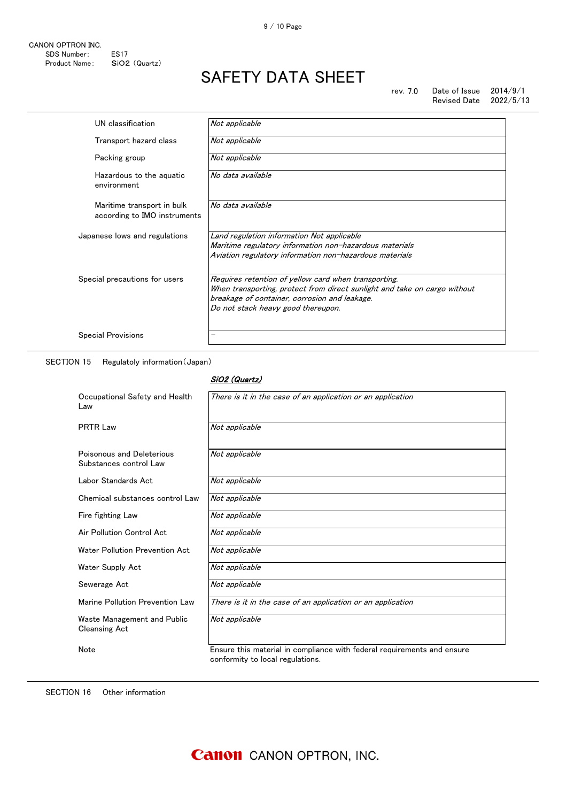| UN classification                                          | Not applicable                                                                                                                                                                                                           |
|------------------------------------------------------------|--------------------------------------------------------------------------------------------------------------------------------------------------------------------------------------------------------------------------|
| Transport hazard class                                     | Not applicable                                                                                                                                                                                                           |
| Packing group                                              | Not applicable                                                                                                                                                                                                           |
| Hazardous to the aguatic<br>environment                    | No data available                                                                                                                                                                                                        |
| Maritime transport in bulk<br>according to IMO instruments | No data available                                                                                                                                                                                                        |
| Japanese lows and regulations                              | Land regulation information Not applicable<br>Maritime regulatory information non-hazardous materials<br>Aviation regulatory information non-hazardous materials                                                         |
| Special precautions for users                              | Requires retention of yellow card when transporting.<br>When transporting, protect from direct sunlight and take on cargo without<br>breakage of container, corrosion and leakage.<br>Do not stack heavy good thereupon. |
| <b>Special Provisions</b>                                  |                                                                                                                                                                                                                          |

SECTION 15 Regulatoly information(Japan)

### SiO2 (Quartz)

| Occupational Safety and Health<br>Law               | There is it in the case of an application or an application                                                 |
|-----------------------------------------------------|-------------------------------------------------------------------------------------------------------------|
| <b>PRTR Law</b>                                     | Not applicable                                                                                              |
| Poisonous and Deleterious<br>Substances control Law | Not applicable                                                                                              |
| Labor Standards Act                                 | Not applicable                                                                                              |
| Chemical substances control Law                     | Not applicable                                                                                              |
| Fire fighting Law                                   | Not applicable                                                                                              |
| Air Pollution Control Act                           | Not applicable                                                                                              |
| Water Pollution Prevention Act                      | Not applicable                                                                                              |
| Water Supply Act                                    | Not applicable                                                                                              |
| Sewerage Act                                        | Not applicable                                                                                              |
| Marine Pollution Prevention Law                     | There is it in the case of an application or an application                                                 |
| Waste Management and Public<br><b>Cleansing Act</b> | Not applicable                                                                                              |
| Note                                                | Ensure this material in compliance with federal requirements and ensure<br>conformity to local regulations. |